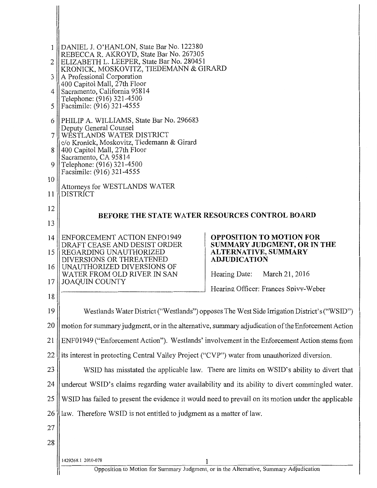| 1<br>2   | DANIEL J. O'HANLON, State Bar No. 122380<br>REBECCA R. AKROYD, State Bar No. 267305<br>ELIZABETH L. LEEPER, State Bar No. 280451 |                                                                                                    |  |
|----------|----------------------------------------------------------------------------------------------------------------------------------|----------------------------------------------------------------------------------------------------|--|
| 3        | KRONICK, MOSKOVITŹ, TIEDEMANN & GIRARD<br>A Professional Corporation                                                             |                                                                                                    |  |
| 4        | 400 Capitol Mall, 27th Floor<br>Sacramento, California 95814                                                                     |                                                                                                    |  |
| 5        | Telephone: (916) 321-4500<br>Facsimile: (916) 321-4555                                                                           |                                                                                                    |  |
| 6        | PHILIP A. WILLIAMS, State Bar No. 296683                                                                                         |                                                                                                    |  |
| 7        | Deputy General Counsel<br>WESTLANDS WATER DISTRICT                                                                               |                                                                                                    |  |
| 8        | c/o Kronick, Moskovitz, Tiedemann & Girard<br>400 Capitol Mall, 27th Floor                                                       |                                                                                                    |  |
| 9        | Sacramento, CA 95814<br>Telephone: (916) 321-4500                                                                                |                                                                                                    |  |
| 10       | Facsimile: (916) 321-4555                                                                                                        |                                                                                                    |  |
| 11       | Attorneys for WESTLANDS WATER<br><b>DISTRICT</b>                                                                                 |                                                                                                    |  |
| 12       | <b>BEFORE THE STATE WATER RESOURCES CONTROL BOARD</b>                                                                            |                                                                                                    |  |
| 13       |                                                                                                                                  |                                                                                                    |  |
| 14<br>15 | ENFORCEMENT ACTION ENFO1949<br>DRAFT CEASE AND DESIST ORDER<br>REGARDING UNAUTHORIZED                                            | <b>OPPOSITION TO MOTION FOR</b><br>SUMMARY JUDGMENT, OR IN THE<br>ALTERNATIVE, SUMMARY             |  |
| 16       | DIVERSIONS OR THREATENED<br>UNAUTHORIZED DIVERSIONS OF                                                                           | <b>ADJUDICATION</b>                                                                                |  |
| 17       | WATER FROM OLD RIVER IN SAN<br><b>JOAQUIN COUNTY</b>                                                                             | March 21, 2016<br>Hearing Date:                                                                    |  |
| 18       |                                                                                                                                  | Hearing Officer: Frances Spivy-Weber                                                               |  |
| 19       |                                                                                                                                  | Westlands Water District ("Westlands") opposes The West Side Irrigation District's ("WSID")        |  |
| 20       |                                                                                                                                  | motion for summary judgment, or in the alternative, summary adjudication of the Enforcement Action |  |
| 21       |                                                                                                                                  | ENF01949 ("Enforcement Action"). Westlands' involvement in the Enforcement Action stems from       |  |
| 22       | its interest in protecting Central Valley Project ("CVP") water from unauthorized diversion.                                     |                                                                                                    |  |
| 23       |                                                                                                                                  | WSID has misstated the applicable law. There are limits on WSID's ability to divert that           |  |
| 24       |                                                                                                                                  | undercut WSID's claims regarding water availability and its ability to divert commingled water.    |  |
| 25       | WSID has failed to present the evidence it would need to prevail on its motion under the applicable                              |                                                                                                    |  |
| 26       | law. Therefore WSID is not entitled to judgment as a matter of law.                                                              |                                                                                                    |  |
| 27       |                                                                                                                                  |                                                                                                    |  |
| 28       |                                                                                                                                  |                                                                                                    |  |
|          | 1429268.1 2010-078                                                                                                               | Opposition to Motion for Summary Judgment, or in the Alternative, Summary Adjudication             |  |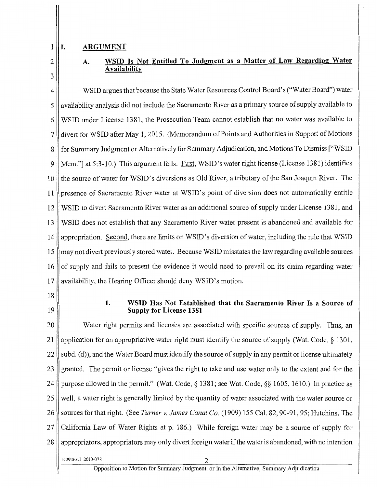#### 1 **I. ARGUMENT**

2 3

# **A. WSID Is Not Entitled To Judgment as a Matter of Law Regarding Water Availability**

4 WSID argues that because the State Water Resources Control Board's ("Water Board") water 5 || availability analysis did not include the Sacramento River as a primary source of supply available to 6 WSID under License 13 81, the Prosecution Team cannot establish that no water was available to 7 | divert for WSID after May 1, 2015. (Memorandum of Points and Authorities in Support of Motions 8 | for Summary Judgment or Alternatively for Summary Adjudication, and Motions To Dismiss ["WSID 9 Mem."] at 5:3-10.) This argument fails. First, WSID's water right license (License 1381) identifies 10 If the source of water for WSID's diversions as Old River, a tributary of the San Joaquin River. The 11 presence of Sacramento River water at WSID's point of diversion does not automatically entitle 12 WSID to divert Sacramento River water as an additional source of supply under License 1381, and 13 WSID does not establish that any Sacramento River water present is abandoned and available for 14 appropriation. Second, there are limits on WSID's diversion of water, including the rule that WSID 15 may not divert previously stored water. Because WSID misstates the law regarding available sources  $16$  of supply and fails to present the evidence it would need to prevail on its claim regarding water 17 availability, the Hearing Officer should deny WSID's motion.

- 18
- 19

#### **1. WSID Has Not Established that the Sacramento River Is a Source of Supply for License 1381**

20 Water right permits and licenses are associated with specific sources of supply. Thus, an 21 application for an appropriative water right must identify the source of supply (Wat. Code,  $\S$  1301,  $22$  subd. (d)), and the Water Board must identify the source of supply in any permit or license ultimately 23 granted. The permit or license "gives the right to take and use water only to the extent and for the 24 || purpose allowed in the permit." (Wat. Code, § 1381; see Wat. Code, §§ 1605, 1610.) In practice as 25 well, a water right is generally limited by the quantity of water associated with the water source or 26 Sources for that right. (See *Turner v. James Canal Co.* (1909) 155 Cal. 82, 90-91, 95; Hutchins, The 27 California Law of Water Rights at p. 186.) While foreign water may be a source of supply for 28 appropriators, appropriators may only divert foreign water if the water is abandoned, with no intention 1429268.1 2010-078 2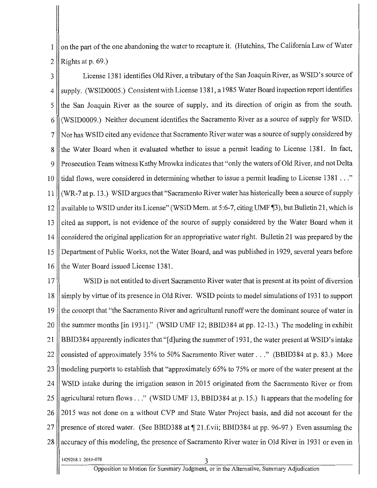1 | on the part of the one abandoning the water to recapture it. (Hutchins, The California Law of Water 2 Rights at p. 69.)

3 License 1381 identifies Old River, a tributary ofthe San Joaquin River, as WSID's source of  $4$   $\parallel$  supply. (WSID0005.) Consistent with License 1381, a 1985 Water Board inspection report identifies  $5$  the San Joaquin River as the source of supply, and its direction of origin as from the south. 6 (WSID0009.) Neither document identifies the Sacramento River as a source of supply for WSID. 7 Nor has WSID cited any evidence that Sacramento River water was a source of supply considered by 8 the Water Board when it evaluated whether to issue a permit leading to License 1381. In fact, 9 || Prosecution Team witness Kathy Mrowka indicates that "only the waters of Old River, and not Delta 10 l tidal flows, were considered in determining whether to issue a permit leading to License 1381 ..." 11 (WR-7 at p. 13.) WSID argues that "Sacramento River water has historically been a source of supply 12 available to WSID under its License" (WSID Mem. at 5:6-7, citing UMF $\P$ 3), but Bulletin 21, which is 13 cited as support, is not evidence of the source of supply considered by the Water Board when it 14 considered the original application for an appropriative water right. Bulletin 21 was prepared by the 15 Department of Public Works, not the Water Board, and was published in 1929, several years before 16 the Water Board issued License 1381.

17 WSID is not entitled to divert Sacramento River water that is present at its point of diversion 18 simply by virtue of its presence in Old River. WSID points to model simulations of 1931 to support 19 the concept that "the Sacramento River and agricultural runoffwere the dominant source ofwater in 20  $\parallel$  the summer months [in 1931]." (WSID UMF 12; BBID384 at pp. 12-13.) The modeling in exhibit 21 BBID384 apparently indicates that "[d]uring the summer of 1931, the water present at WSID's intake 22 Consisted of approximately 35% to 50% Sacramento River water ..." (BBID384 at p. 83.) More 23 || modeling purports to establish that "approximately 65% to 75% or more of the water present at the 24 WSID intake during the irrigation season in 2015 originated from the Sacramento River or from 25 || agricultural return flows ..." (WSID UMF 13, BBID384 at p. 15.) It appears that the modeling for 26 2015 was not done on a without CVP and State Water Project basis, and did not account for the 27 || presence of stored water. (See BBID388 at  $\P$  21.f.vii; BBID384 at pp. 96-97.) Even assuming the 28 accuracy of this modeling, the presence of Sacramento River water in Old River in 1931 or even in

1429268.1 2010-078 3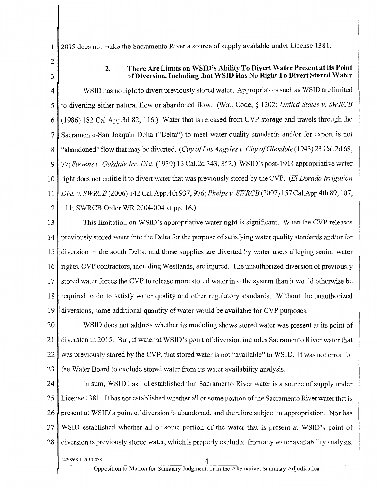1 2015 does not make the Sacramento River a source of supply available tmder License 1381.

2 3

## 2. There Are Limits on WSID's Ability To Divert Water Present at its Point of Diversion, Including that WSID Has No Right To Divert Stored Water

4 WSID has no right to divert previously stored water. Appropriators such as WSID are limited 5 to diverting either natural flow or abandoned flow. (Wat. Code, § 1202; *United States v. SWRCB*  6 (1986) 182 Cal.App.3d 82, 116.) Water that is released from CVP storage and travels through the 7 || Sacramento-San Joaquin Delta ("Delta") to meet water quality standards and/or for export is not 8 || "abandoned" flow that may be diverted. *(City of Los Angeles v. City of Glendale* (1943) 23 Cal.2d 68, 9 77; *Stevens v. Oakdale Irr. Dist.* (1939) 13 Cal.2d 343, 352.) WSID's post-1914 appropriative water 10 right does not entitle it to divert water that was previously stored by the CVP. *(ElDorado Irrigation*  11 *Dist. v. SWRCB* (2006) 142 Cal.App.4th 937, 976; *Phelps v. SWRCB(2007)* 157 Cal.App.4th 89, 107, 12 111; SWRCB Order WR 2004-004 at pp. 16.)

13 | This limitation on WSID's appropriative water right is significant. When the CVP releases 14 previously stored water into the Delta for the purpose of satisfying water quality standards and/or for 15 diversion in the south Delta, and those supplies are diverted by water users alleging senior water 16 rights, CVP contractors, including Westlands, are injured. The unauthorized diversion of previously 17 stored water forces the CVP to release more stored water into the system than it would otherwise be 18 || required to do to satisfy water quality and other regulatory standards. Without the unauthorized 19 diversions, some additional quantity of water would be available for CVP purposes.

20 WSID does not address whether its modeling shows stored water was present at its point of 21 diversion in 2015. But, if water at WSID's point of diversion includes Sacramento River water that  $22$  was previously stored by the CVP, that stored water is not "available" to WSID. It was not error for 23 the Water Board to exclude stored water from its water availability analysis.

24 | In sum, WSID has not established that Sacramento River water is a source of supply under 25 License 1381. It has not established whether all or some portion of the Sacramento River water that is 26 present at WSID's point of diversion is abandoned, and therefore subject to appropriation. Nor has 27 WSID established whether all or some portion of the water that is present at WSID's point of 28 diversion is previously stored water, which is properly excluded from any water availability analysis.

1429268.1 2010-078 4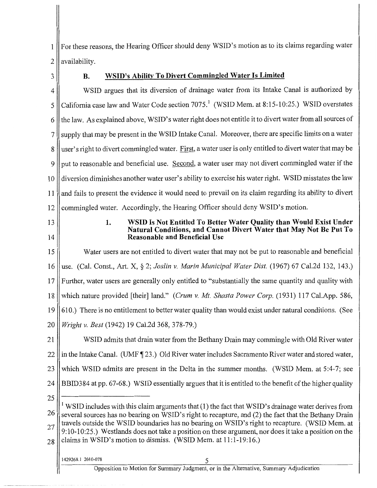1 For these reasons, the Hearing Officer should deny WSID's motion as to its claims regarding water 2 || availability.

### 3 **B.** WSID's Ability To Divert Commingled Water Is Limited

4 WSID argues that its diversion of drainage water from its Intake Canal is authorized by 5 California case law and Water Code section 7075.<sup>1</sup> (WSID Mem. at 8:15-10:25.) WSID overstates 6 the law. As explained above, WSID's water right does not entitle it to divert water from all sources of 7 || supply that may be present in the WSID Intake Canal. Moreover, there are specific limits on a water 8 || user's right to divert commingled water. First, a water user is only entitled to divert water that may be  $9$  || put to reasonable and beneficial use. Second, a water user may not divert commingled water if the 10 diversion diminishes another water user's ability to exercise his water right. WSID misstates the law 11 and fails to present the evidence it would need to prevail on its claim regarding its ability to divert 12 || commingled water. Accordingly, the Hearing Officer should deny WSID's motion.

13 14

### 1. WSID Is Not Entitled To Better Water Quality than Would Exist Under Natural Conditions, and Cannot Divert Water that May Not Be Put To Reasonable and Beneficial Use

15 Water users are not entitled to divert water that may not be put to reasonable and beneficial 16 use. (Cal. Const., Art. X,§ 2; *Joslin v. Marin Municipal Water Dist.* (1967) 67 Cal.2d 132, 143.) 17 Further, water users are generally only entitled to "substantially the same quantity and quality with 18 which nature provided [their] land." *(Crum v. Mt. Shasta Power Corp.* (1931) 117 Cal.App. 586, 19 610.) There is no entitlement to better water quality than would exist under natural conditions. (See 20 *Wright v. Best* (1942) 19 Cal.2d 368, 378-79.)

21 WSID admits that drain water from the Bethany Drain may commingle with Old River water  $22$  in the Intake Canal. (UMF  $\llbracket 23.$ ) Old River water includes Sacramento River water and stored water, 23 which WSID admits are present in the Delta in the summer months. (WSID Mem. at 5:4-7; see 24 BBID384 at pp. 67-68.) WSID essentially argues that it is entitled to the benefit of the higher quality

25

 $\rm I$  WSID includes with this claim arguments that (1) the fact that WSID's drainage water derives from  $26 \parallel$  several sources has no bearing on WSID's right to recapture, and (2) the fact that the Bethany Drain  $27$  ravels outside the WSID boundaries has no bearing on WSID's right to recapture. (WSID Mem. at 9: 10-10:25.) Westlands does not take a position on these argument, nor does it take a position on the  $28$  claims in WSID's motion to dismiss. (WSID Mem. at 11:1-19:16.)

#### 1429268.1 2010-078 5

Opposition to Motion for Summary Judgment, or in the Alternative, Summary Adjudication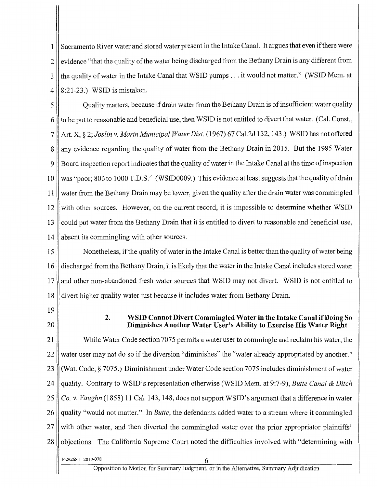1 Sacramento River water and stored water present in the Intake Canal. It argues that even ifthere were  $2 \parallel$  evidence "that the quality of the water being discharged from the Bethany Drain is any different from 3 If the quality of water in the Intake Canal that WSID pumps . . . it would not matter." (WSID Mem. at  $4 \parallel 8:21-23$ .) WSID is mistaken.

5 Quality matters, because if drain water from the Bethany Drain is of insufficient water quality  $6$  || to be put to reasonable and beneficial use, then WSID is not entitled to divert that water. (Cal. Const., 7 Art. X, § 2; *Joslin v. Marin Municipal Water Dist.* ( 1967) 67 Cal.2d 132, 143 .) WSID has not offered 8 || any evidence regarding the quality of water from the Bethany Drain in 2015. But the 1985 Water 9 Board inspection report indicates that the quality of water in the Intake Canal at the time of inspection 10 was "poor; 800 to 1000 T.D.S." (WSID0009.) This evidence at least suggests that the quality of drain 11 water from the Bethany Drain may be lower, given the quality after the drain water was commingled  $12$  with other sources. However, on the current record, it is impossible to determine whether WSID 13 || could put water from the Bethany Drain that it is entitled to divert to reasonable and beneficial use, 14 absent its commingling with other sources.

15 Nonetheless, if the quality of water in the Intake Canal is better than the quality of water being 16 discharged from the Bethany Drain, it is likely that the water in the Intake Canal includes stored water 17 and other non-abandoned fresh water sources that WSID may not divert. WSID is not entitled to 18 divert higher quality water just because it includes water from Bethany Drain.

- 19
- 20

## **2. WSID Cannot Divert Commingled Water in the Intake Canal if Doing So Diminishes Another Water User's Ability to Exercise His Water Right**

21 While Water Code section 7075 permits a water user to commingle and reclaim his water, the 22 water user may not do so if the diversion "diminishes" the "water already appropriated by another." 23 (Wat. Code,§ 7075.) Diminishment under Water Code section 7075 includes diminishment ofwater 24 quality. Contrary to WSID's representation otherwise (WSID Mem. at 9:7-9), *Butte Canal* & *Ditch*  25 *Co. v. Vaughn* (1858) 11 Cal. 143, 148, does not support WSID's argument that a difference in water 26 || quality "would not matter." In *Butte*, the defendants added water to a stream where it commingled 27 with other water, and then diverted the commingled water over the prior appropriator plaintiffs' 28 || objections. The California Supreme Court noted the difficulties involved with "determining with

1429268.1 2010-078 6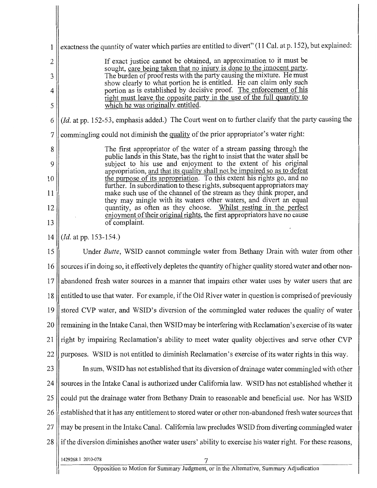| $\mathbf{1}$ | exactness the quantity of water which parties are entitled to divert" (11 Cal. at p. 152), but explained:                                          |  |  |
|--------------|----------------------------------------------------------------------------------------------------------------------------------------------------|--|--|
| $\mathbf{2}$ | If exact justice cannot be obtained, an approximation to it must be                                                                                |  |  |
| 3            | sought, care being taken that no injury is done to the innocent party.<br>The burden of proof rests with the party causing the mixture. He must    |  |  |
| 4            | show clearly to what portion he is entitled. He can claim only such<br>portion as is established by decisive proof. The enforcement of his         |  |  |
| 5            | right must leave the opposite party in the use of the full quantity to<br>which he was originally entitled.                                        |  |  |
| 6            | (Id. at pp. 152-53, emphasis added.) The Court went on to further clarify that the party causing the                                               |  |  |
| 7            | commingling could not diminish the quality of the prior appropriator's water right:                                                                |  |  |
| 8            | The first appropriator of the water of a stream passing through the<br>public lands in this State, has the right to insist that the water shall be |  |  |
| 9            | subject to his use and enjoyment to the extent of his original<br>appropriation, and that its quality shall not be impaired so as to defeat        |  |  |
| 10           | the purpose of its appropriation. To this extent his rights go, and no<br>further. In subordination to these rights, subsequent appropriators may  |  |  |
| 11           | make such use of the channel of the stream as they think proper, and<br>they may mingle with its waters other waters, and divert an equal          |  |  |
| 12           | quantity, as often as they choose. Whilst resting in the perfect<br>enjoyment of their original rights, the first appropriators have no cause      |  |  |
| 13           | of complaint.                                                                                                                                      |  |  |
| 14           | ( <i>Id.</i> at pp. 153-154.)                                                                                                                      |  |  |
| 15           | Under Butte, WSID cannot commingle water from Bethany Drain with water from other                                                                  |  |  |
| 16           | sources if in doing so, it effectively depletes the quantity of higher quality stored water and other non-                                         |  |  |
| 17           | abandoned fresh water sources in a manner that impairs other water uses by water users that are                                                    |  |  |
|              | 18    entitled to use that water. For example, if the Old River water in question is comprised of previously                                       |  |  |
| 19           | stored CVP water, and WSID's diversion of the commingled water reduces the quality of water                                                        |  |  |
| 20           | remaining in the Intake Canal, then WSID may be interfering with Reclamation's exercise of its water                                               |  |  |
| 21           | right by impairing Reclamation's ability to meet water quality objectives and serve other CVP                                                      |  |  |
| 22           | purposes. WSID is not entitled to diminish Reclamation's exercise of its water rights in this way.                                                 |  |  |
| 23           | In sum, WSID has not established that its diversion of drainage water commingled with other                                                        |  |  |
| 24           | sources in the Intake Canal is authorized under California law. WSID has not established whether it                                                |  |  |
| 25           | could put the drainage water from Bethany Drain to reasonable and beneficial use. Nor has WSID                                                     |  |  |
| 26           | established that it has any entitlement to stored water or other non-abandoned fresh water sources that                                            |  |  |
| 27           | may be present in the Intake Canal. California law precludes WSID from diverting commingled water                                                  |  |  |
| 28           | if the diversion diminishes another water users' ability to exercise his water right. For these reasons,                                           |  |  |
|              | 1429268.1 2010-078                                                                                                                                 |  |  |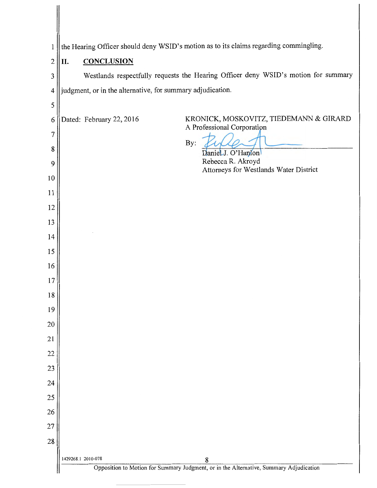| 1              | the Hearing Officer should deny WSID's motion as to its claims regarding commingling.                                         |  |  |
|----------------|-------------------------------------------------------------------------------------------------------------------------------|--|--|
| $\overline{2}$ | <b>CONCLUSION</b><br>II.                                                                                                      |  |  |
| 3              | Westlands respectfully requests the Hearing Officer deny WSID's motion for summary                                            |  |  |
| $\overline{4}$ | judgment, or in the alternative, for summary adjudication.                                                                    |  |  |
| 5              |                                                                                                                               |  |  |
| 6              | KRONICK, MOSKOVITZ, TIEDEMANN & GIRARD<br>Dated: February 22, 2016<br>A Professional Corporation                              |  |  |
| 7              |                                                                                                                               |  |  |
| 8              | By:<br>Daniel J. O'Hanlon                                                                                                     |  |  |
| 9              | Rebecca R. Akroyd<br>Attorneys for Westlands Water District                                                                   |  |  |
| 10             |                                                                                                                               |  |  |
| 11             |                                                                                                                               |  |  |
| 12             |                                                                                                                               |  |  |
| 13             |                                                                                                                               |  |  |
| 14             |                                                                                                                               |  |  |
| 15             |                                                                                                                               |  |  |
| 16             |                                                                                                                               |  |  |
| 17             |                                                                                                                               |  |  |
| 18             |                                                                                                                               |  |  |
| 19             |                                                                                                                               |  |  |
| 20             |                                                                                                                               |  |  |
| 21             |                                                                                                                               |  |  |
| 22             |                                                                                                                               |  |  |
| 23             |                                                                                                                               |  |  |
| 24             |                                                                                                                               |  |  |
| 25             |                                                                                                                               |  |  |
| 26             |                                                                                                                               |  |  |
| 27             |                                                                                                                               |  |  |
| 28             |                                                                                                                               |  |  |
|                | 1429268.1 2010-078<br>$\frac{8}{5}$<br>Opposition to Motion for Summary Judgment, or in the Alternative, Summary Adjudication |  |  |
|                |                                                                                                                               |  |  |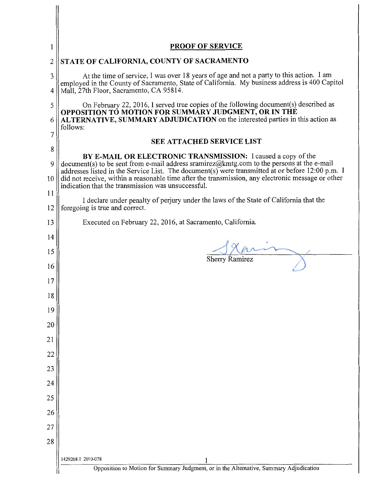| 1                  | <b>PROOF OF SERVICE</b>                                                                                                                                                                                                                                                                                                                                                                                                  |  |  |
|--------------------|--------------------------------------------------------------------------------------------------------------------------------------------------------------------------------------------------------------------------------------------------------------------------------------------------------------------------------------------------------------------------------------------------------------------------|--|--|
| $\overline{2}$     | STATE OF CALIFORNIA, COUNTY OF SACRAMENTO                                                                                                                                                                                                                                                                                                                                                                                |  |  |
| 3<br>4             | At the time of service, I was over 18 years of age and not a party to this action. I am<br>employed in the County of Sacramento, State of California. My business address is 400 Capitol<br>Mall, 27th Floor, Sacramento, CA 95814.                                                                                                                                                                                      |  |  |
| 5<br>6             | On February 22, 2016, I served true copies of the following document(s) described as<br>OPPOSITION TO MOTION FOR SUMMARY JUDGMENT, OR IN THE<br>ALTERNATIVE, SUMMARY ADJUDICATION on the interested parties in this action as<br>follows:                                                                                                                                                                                |  |  |
| 7                  | <b>SEE ATTACHED SERVICE LIST</b>                                                                                                                                                                                                                                                                                                                                                                                         |  |  |
| 8<br>9<br>10<br>11 | BY E-MAIL OR ELECTRONIC TRANSMISSION: I caused a copy of the<br>document(s) to be sent from e-mail address sramirez@kmtg.com to the persons at the e-mail<br>addresses listed in the Service List. The document(s) were transmitted at or before 12:00 p.m. I<br>did not receive, within a reasonable time after the transmission, any electronic message or other<br>indication that the transmission was unsuccessful. |  |  |
| 12                 | I declare under penalty of perjury under the laws of the State of California that the<br>foregoing is true and correct.                                                                                                                                                                                                                                                                                                  |  |  |
| 13                 | Executed on February 22, 2016, at Sacramento, California.                                                                                                                                                                                                                                                                                                                                                                |  |  |
| 14                 |                                                                                                                                                                                                                                                                                                                                                                                                                          |  |  |
| 15                 | <b>Sherry Ramirez</b>                                                                                                                                                                                                                                                                                                                                                                                                    |  |  |
| 16                 |                                                                                                                                                                                                                                                                                                                                                                                                                          |  |  |
| 17                 |                                                                                                                                                                                                                                                                                                                                                                                                                          |  |  |
| 18                 |                                                                                                                                                                                                                                                                                                                                                                                                                          |  |  |
| 19                 |                                                                                                                                                                                                                                                                                                                                                                                                                          |  |  |
| 20<br>21           |                                                                                                                                                                                                                                                                                                                                                                                                                          |  |  |
| 22                 |                                                                                                                                                                                                                                                                                                                                                                                                                          |  |  |
| 23                 |                                                                                                                                                                                                                                                                                                                                                                                                                          |  |  |
| 24                 |                                                                                                                                                                                                                                                                                                                                                                                                                          |  |  |
| 25                 |                                                                                                                                                                                                                                                                                                                                                                                                                          |  |  |
| 26                 |                                                                                                                                                                                                                                                                                                                                                                                                                          |  |  |
| 27                 |                                                                                                                                                                                                                                                                                                                                                                                                                          |  |  |
| 28                 |                                                                                                                                                                                                                                                                                                                                                                                                                          |  |  |
|                    | 1429268.1 2010-078<br>1<br>Opposition to Motion for Summary Judgment, or in the Alternative, Summary Adjudication                                                                                                                                                                                                                                                                                                        |  |  |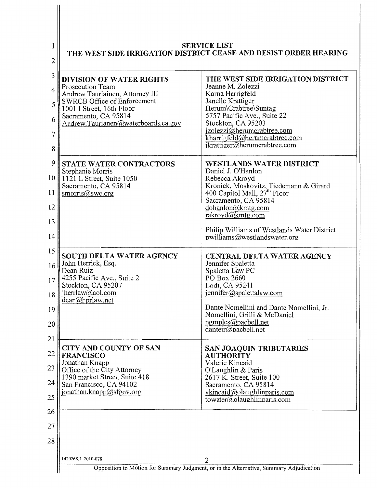| $\overline{c}$                               | <b>SERVICE LIST</b><br>THE WEST SIDE IRRIGATION DISTRICT CEASE AND DESIST ORDER HEARING                                                                                                                                  |                                                                                                                                                                                                                                                                                                               |  |
|----------------------------------------------|--------------------------------------------------------------------------------------------------------------------------------------------------------------------------------------------------------------------------|---------------------------------------------------------------------------------------------------------------------------------------------------------------------------------------------------------------------------------------------------------------------------------------------------------------|--|
| 3<br>4<br>5<br>6<br>$\overline{7}$<br>8      | <b>DIVISION OF WATER RIGHTS</b><br>Prosecution Team<br>Andrew Tauriainen, Attorney III<br><b>SWRCB Office of Enforcement</b><br>1001 I Street, 16th Floor<br>Sacramento, CA 95814<br>Andrew.Taurianen@waterboards.ca.gov | THE WEST SIDE IRRIGATION DISTRICT<br>Jeanne M. Zolezzi<br>Karna Harrigfeld<br>Janelle Krattiger<br>Herum\Crabtree\Suntag<br>5757 Pacific Ave., Suite 22<br>Stockton, CA 95203<br>jzolezzi@herumcrabtree.com<br>kharrigfeld@herumcrabtree.com<br>ikrattiger@herumcrabtree.com                                  |  |
| 9<br>10 <sup>1</sup><br>11<br>12<br>13<br>14 | <b>STATE WATER CONTRACTORS</b><br>Stephanie Morris<br>1121 L Street, Suite 1050<br>Sacramento, CA 95814<br>smorris@swc.org                                                                                               | <b>WESTLANDS WATER DISTRICT</b><br>Daniel J. O'Hanlon<br>Rebecca Akroyd<br>Kronick, Moskovitz, Tiedemann & Girard<br>400 Capitol Mall, 27 <sup>th</sup> Floor<br>Sacramento, CA 95814<br>dohanlon@kmtg.com<br>rakroyd@kmtg.com<br>Philip Williams of Westlands Water District<br>pwilliams@westlandswater.org |  |
| 15<br>16<br>18<br>19<br>20                   | <b>SOUTH DELTA WATER AGENCY</b><br>John Herrick, Esq.<br>Dean Ruiz<br>17   4255 Pacific Ave., Suite 2<br>Stockton, CA 95207<br>jherrlaw@aol.com<br>dean@hprlaw.net                                                       | CENTRAL DELTA WATER AGENCY<br>Jennifer Spaletta<br>Spaletta Law PC<br>PO Box 2660<br>Lodi, CA 95241<br>$j$ ennifer@spalettalaw.com<br>Dante Nomellini and Dante Nomellini, Jr.<br>Nomellini, Grilli & McDaniel<br>ngmplcs@pacbell.net<br>danteir@pacbell.net                                                  |  |
| 21<br>22<br>23<br>24<br>25<br>26             | <b>CITY AND COUNTY OF SAN</b><br><b>FRANCISCO</b><br>Jonathan Knapp<br>Office of the City Attorney<br>1390 market Street, Suite 418<br>San Francisco, CA 94102<br>jonathan.knapp@sfgov.org                               | <b>SAN JOAQUIN TRIBUTARIES</b><br><b>AUTHORITY</b><br>Valerie Kincaid<br>O'Laughlin & Paris<br>2617 K. Street, Suite 100<br>Sacramento, CA 95814<br>vkincaid@olaughlinparis.com<br>towater@olaughlinparis.com                                                                                                 |  |
| 27<br>28                                     |                                                                                                                                                                                                                          |                                                                                                                                                                                                                                                                                                               |  |
|                                              | 1429268.1 2010-078                                                                                                                                                                                                       | 2                                                                                                                                                                                                                                                                                                             |  |
|                                              | Opposition to Motion for Summary Judgment, or in the Alternative, Summary Adjudication                                                                                                                                   |                                                                                                                                                                                                                                                                                                               |  |